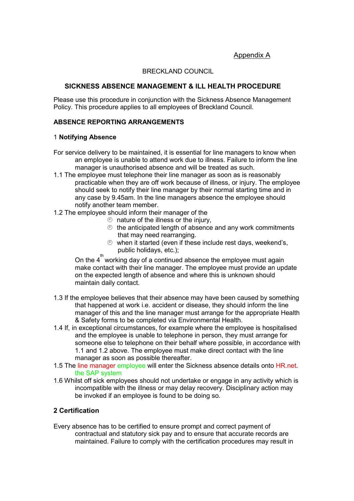# BRECKLAND COUNCIL

### SICKNESS ABSENCE MANAGEMENT & ILL HEALTH PROCEDURE

Please use this procedure in conjunction with the Sickness Absence Management Policy. This procedure applies to all employees of Breckland Council.

#### ABSENCE REPORTING ARRANGEMENTS

#### 1 Notifying Absence

- For service delivery to be maintained, it is essential for line managers to know when an employee is unable to attend work due to illness. Failure to inform the line manager is unauthorised absence and will be treated as such.
- 1.1 The employee must telephone their line manager as soon as is reasonably practicable when they are off work because of illness, or injury. The employee should seek to notify their line manager by their normal starting time and in any case by 9.45am. In the line managers absence the employee should notify another team member.
- 1.2 The employee should inform their manager of the
	- $\circledcirc$  nature of the illness or the injury.
	- $\Diamond$  the anticipated length of absence and any work commitments that may need rearranging.
	- $\degree$  when it started (even if these include rest days, weekend's, public holidays, etc.);

On the  $4^{th}$  working day of a continued absence the employee must again make contact with their line manager. The employee must provide an update on the expected length of absence and where this is unknown should maintain daily contact.

- 1.3 If the employee believes that their absence may have been caused by something that happened at work i.e. accident or disease, they should inform the line manager of this and the line manager must arrange for the appropriate Health & Safety forms to be completed via Environmental Health.
- 1.4 If, in exceptional circumstances, for example where the employee is hospitalised and the employee is unable to telephone in person, they must arrange for someone else to telephone on their behalf where possible, in accordance with 1.1 and 1.2 above. The employee must make direct contact with the line manager as soon as possible thereafter.
- 1.5 The line manager employee will enter the Sickness absence details onto HR.net. the SAP system
- 1.6 Whilst off sick employees should not undertake or engage in any activity which is incompatible with the illness or may delay recovery. Disciplinary action may be invoked if an employee is found to be doing so.

### 2 Certification

Every absence has to be certified to ensure prompt and correct payment of contractual and statutory sick pay and to ensure that accurate records are maintained. Failure to comply with the certification procedures may result in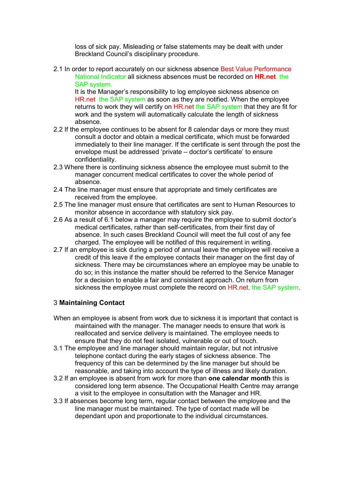loss of sick pay. Misleading or false statements may be dealt with under Breckland Council's disciplinary procedure.

2.1 In order to report accurately on our sickness absence Best Value Performance National Indicator all sickness absences must be recorded on HR.net. the SAP system.

It is the Manager's responsibility to log employee sickness absence on HR.net the SAP system as soon as they are notified. When the employee returns to work they will certify on HR.net the SAP system that they are fit for work and the system will automatically calculate the length of sickness absence.

- 2.2 If the employee continues to be absent for 8 calendar days or more they must consult a doctor and obtain a medical certificate, which must be forwarded immediately to their line manager. If the certificate is sent through the post the envelope must be addressed 'private – doctor's certificate' to ensure confidentiality.
- 2.3 Where there is continuing sickness absence the employee must submit to the manager concurrent medical certificates to cover the whole period of absence.
- 2.4 The line manager must ensure that appropriate and timely certificates are received from the employee.
- 2.5 The line manager must ensure that certificates are sent to Human Resources to monitor absence in accordance with statutory sick pay.
- 2.6 As a result of 6.1 below a manager may require the employee to submit doctor's medical certificates, rather than self-certificates, from their first day of absence. In such cases Breckland Council will meet the full cost of any fee charged. The employee will be notified of this requirement in writing.
- 2.7 If an employee is sick during a period of annual leave the employee will receive a credit of this leave if the employee contacts their manager on the first day of sickness. There may be circumstances where an employee may be unable to do so; in this instance the matter should be referred to the Service Manager for a decision to enable a fair and consistent approach. On return from sickness the employee must complete the record on HR.net. the SAP system.

# 3 Maintaining Contact

- When an employee is absent from work due to sickness it is important that contact is maintained with the manager. The manager needs to ensure that work is reallocated and service delivery is maintained. The employee needs to ensure that they do not feel isolated, vulnerable or out of touch.
- 3.1 The employee and line manager should maintain regular, but not intrusive telephone contact during the early stages of sickness absence. The frequency of this can be determined by the line manager but should be reasonable, and taking into account the type of illness and likely duration.
- 3.2 If an employee is absent from work for more than one calendar month this is considered long term absence. The Occupational Health Centre may arrange a visit to the employee in consultation with the Manager and HR.
- 3.3 If absences become long term, regular contact between the employee and the line manager must be maintained. The type of contact made will be dependant upon and proportionate to the individual circumstances.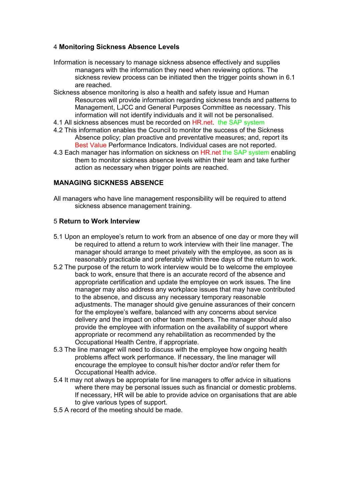### 4 Monitoring Sickness Absence Levels

- Information is necessary to manage sickness absence effectively and supplies managers with the information they need when reviewing options. The sickness review process can be initiated then the trigger points shown in 6.1 are reached.
- Sickness absence monitoring is also a health and safety issue and Human Resources will provide information regarding sickness trends and patterns to Management, LJCC and General Purposes Committee as necessary. This information will not identify individuals and it will not be personalised.
- 4.1 All sickness absences must be recorded on HR.net. the SAP system
- 4.2 This information enables the Council to monitor the success of the Sickness Absence policy; plan proactive and preventative measures; and, report its Best Value Performance Indicators. Individual cases are not reported.
- 4.3 Each manager has information on sickness on HR.net the SAP system enabling them to monitor sickness absence levels within their team and take further action as necessary when trigger points are reached.

# MANAGING SICKNESS ABSENCE

All managers who have line management responsibility will be required to attend sickness absence management training.

### 5 Return to Work Interview

- 5.1 Upon an employee's return to work from an absence of one day or more they will be required to attend a return to work interview with their line manager. The manager should arrange to meet privately with the employee, as soon as is reasonably practicable and preferably within three days of the return to work.
- 5.2 The purpose of the return to work interview would be to welcome the employee back to work, ensure that there is an accurate record of the absence and appropriate certification and update the employee on work issues. The line manager may also address any workplace issues that may have contributed to the absence, and discuss any necessary temporary reasonable adjustments. The manager should give genuine assurances of their concern for the employee's welfare, balanced with any concerns about service delivery and the impact on other team members. The manager should also provide the employee with information on the availability of support where appropriate or recommend any rehabilitation as recommended by the Occupational Health Centre, if appropriate.
- 5.3 The line manager will need to discuss with the employee how ongoing health problems affect work performance. If necessary, the line manager will encourage the employee to consult his/her doctor and/or refer them for Occupational Health advice.
- 5.4 It may not always be appropriate for line managers to offer advice in situations where there may be personal issues such as financial or domestic problems. If necessary, HR will be able to provide advice on organisations that are able to give various types of support.
- 5.5 A record of the meeting should be made.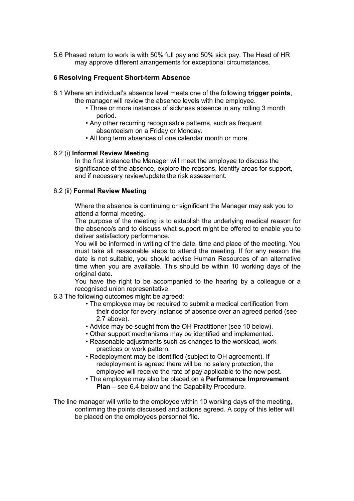5.6 Phased return to work is with 50% full pay and 50% sick pay. The Head of HR may approve different arrangements for exceptional circumstances.

### 6 Resolving Frequent Short-term Absence

- 6.1 Where an individual's absence level meets one of the following trigger points,
	- the manager will review the absence levels with the employee.
		- Three or more instances of sickness absence in any rolling 3 month period.
		- Any other recurring recognisable patterns, such as frequent absenteeism on a Friday or Monday.
		- All long term absences of one calendar month or more.

### 6.2 (i) Informal Review Meeting

In the first instance the Manager will meet the employee to discuss the significance of the absence, explore the reasons, identify areas for support, and if necessary review/update the risk assessment.

### 6.2 (ii) Formal Review Meeting

Where the absence is continuing or significant the Manager may ask you to attend a formal meeting.

The purpose of the meeting is to establish the underlying medical reason for the absence/s and to discuss what support might be offered to enable you to deliver satisfactory performance.

You will be informed in writing of the date, time and place of the meeting. You must take all reasonable steps to attend the meeting. If for any reason the date is not suitable, you should advise Human Resources of an alternative time when you are available. This should be within 10 working days of the original date.

You have the right to be accompanied to the hearing by a colleague or a recognised union representative.

- 6.3 The following outcomes might be agreed:
	- The employee may be required to submit a medical certification from their doctor for every instance of absence over an agreed period (see 2.7 above).
	- Advice may be sought from the OH Practitioner (see 10 below).
	- Other support mechanisms may be identified and implemented.
	- Reasonable adjustments such as changes to the workload, work practices or work pattern.
	- Redeployment may be identified (subject to OH agreement). If redeployment is agreed there will be no salary protection, the employee will receive the rate of pay applicable to the new post.
	- The employee may also be placed on a Performance Improvement Plan – see 6.4 below and the Capability Procedure.

The line manager will write to the employee within 10 working days of the meeting, confirming the points discussed and actions agreed. A copy of this letter will be placed on the employees personnel file.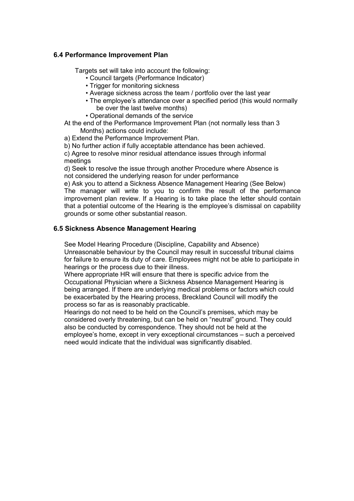## 6.4 Performance Improvement Plan

Targets set will take into account the following:

- Council targets (Performance Indicator)
- Trigger for monitoring sickness
- Average sickness across the team / portfolio over the last year
- The employee's attendance over a specified period (this would normally be over the last twelve months)
- Operational demands of the service
- At the end of the Performance Improvement Plan (not normally less than 3 Months) actions could include:

a) Extend the Performance Improvement Plan.

b) No further action if fully acceptable attendance has been achieved.

c) Agree to resolve minor residual attendance issues through informal meetings

d) Seek to resolve the issue through another Procedure where Absence is not considered the underlying reason for under performance

e) Ask you to attend a Sickness Absence Management Hearing (See Below) The manager will write to you to confirm the result of the performance improvement plan review. If a Hearing is to take place the letter should contain that a potential outcome of the Hearing is the employee's dismissal on capability grounds or some other substantial reason.

# 6.5 Sickness Absence Management Hearing

See Model Hearing Procedure (Discipline, Capability and Absence) Unreasonable behaviour by the Council may result in successful tribunal claims for failure to ensure its duty of care. Employees might not be able to participate in hearings or the process due to their illness.

Where appropriate HR will ensure that there is specific advice from the Occupational Physician where a Sickness Absence Management Hearing is being arranged. If there are underlying medical problems or factors which could be exacerbated by the Hearing process, Breckland Council will modify the process so far as is reasonably practicable.

Hearings do not need to be held on the Council's premises, which may be considered overly threatening, but can be held on "neutral" ground. They could also be conducted by correspondence. They should not be held at the employee's home, except in very exceptional circumstances – such a perceived need would indicate that the individual was significantly disabled.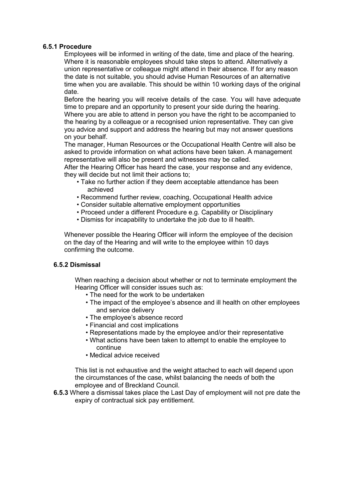#### 6.5.1 Procedure

Employees will be informed in writing of the date, time and place of the hearing. Where it is reasonable employees should take steps to attend. Alternatively a union representative or colleague might attend in their absence. If for any reason the date is not suitable, you should advise Human Resources of an alternative time when you are available. This should be within 10 working days of the original date.

Before the hearing you will receive details of the case. You will have adequate time to prepare and an opportunity to present your side during the hearing. Where you are able to attend in person you have the right to be accompanied to the hearing by a colleague or a recognised union representative. They can give you advice and support and address the hearing but may not answer questions on your behalf.

The manager, Human Resources or the Occupational Health Centre will also be asked to provide information on what actions have been taken. A management representative will also be present and witnesses may be called.

After the Hearing Officer has heard the case, your response and any evidence, they will decide but not limit their actions to;

- Take no further action if they deem acceptable attendance has been achieved
- Recommend further review, coaching, Occupational Health advice
- Consider suitable alternative employment opportunities
- Proceed under a different Procedure e.g. Capability or Disciplinary
- Dismiss for incapability to undertake the job due to ill health.

Whenever possible the Hearing Officer will inform the employee of the decision on the day of the Hearing and will write to the employee within 10 days confirming the outcome.

# 6.5.2 Dismissal

When reaching a decision about whether or not to terminate employment the Hearing Officer will consider issues such as:

- The need for the work to be undertaken
- The impact of the employee's absence and ill health on other employees and service delivery
- The employee's absence record
- Financial and cost implications
- Representations made by the employee and/or their representative
- What actions have been taken to attempt to enable the employee to continue
- Medical advice received

This list is not exhaustive and the weight attached to each will depend upon the circumstances of the case, whilst balancing the needs of both the employee and of Breckland Council.

6.5.3 Where a dismissal takes place the Last Day of employment will not pre date the expiry of contractual sick pay entitlement.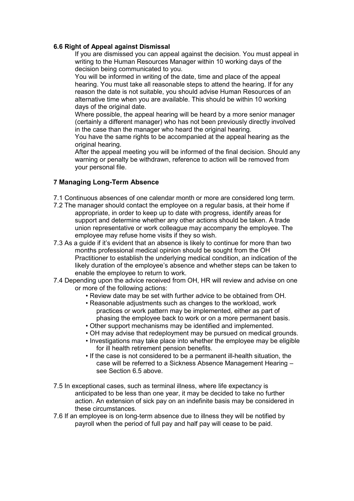### 6.6 Right of Appeal against Dismissal

If you are dismissed you can appeal against the decision. You must appeal in writing to the Human Resources Manager within 10 working days of the decision being communicated to you.

You will be informed in writing of the date, time and place of the appeal hearing. You must take all reasonable steps to attend the hearing. If for any reason the date is not suitable, you should advise Human Resources of an alternative time when you are available. This should be within 10 working days of the original date.

Where possible, the appeal hearing will be heard by a more senior manager (certainly a different manager) who has not been previously directly involved in the case than the manager who heard the original hearing.

You have the same rights to be accompanied at the appeal hearing as the original hearing.

After the appeal meeting you will be informed of the final decision. Should any warning or penalty be withdrawn, reference to action will be removed from your personal file.

### 7 Managing Long-Term Absence

- 7.1 Continuous absences of one calendar month or more are considered long term.
- 7.2 The manager should contact the employee on a regular basis, at their home if appropriate, in order to keep up to date with progress, identify areas for support and determine whether any other actions should be taken. A trade union representative or work colleague may accompany the employee. The employee may refuse home visits if they so wish.
- 7.3 As a guide if it's evident that an absence is likely to continue for more than two months professional medical opinion should be sought from the OH Practitioner to establish the underlying medical condition, an indication of the likely duration of the employee's absence and whether steps can be taken to enable the employee to return to work.
- 7.4 Depending upon the advice received from OH, HR will review and advise on one or more of the following actions:
	- Review date may be set with further advice to be obtained from OH.
	- Reasonable adjustments such as changes to the workload, work practices or work pattern may be implemented, either as part of phasing the employee back to work or on a more permanent basis.
	- Other support mechanisms may be identified and implemented.
	- OH may advise that redeployment may be pursued on medical grounds.
	- Investigations may take place into whether the employee may be eligible for ill health retirement pension benefits.
	- If the case is not considered to be a permanent ill-health situation, the case will be referred to a Sickness Absence Management Hearing – see Section 6.5 above.
- 7.5 In exceptional cases, such as terminal illness, where life expectancy is anticipated to be less than one year, it may be decided to take no further action. An extension of sick pay on an indefinite basis may be considered in these circumstances.
- 7.6 If an employee is on long-term absence due to illness they will be notified by payroll when the period of full pay and half pay will cease to be paid.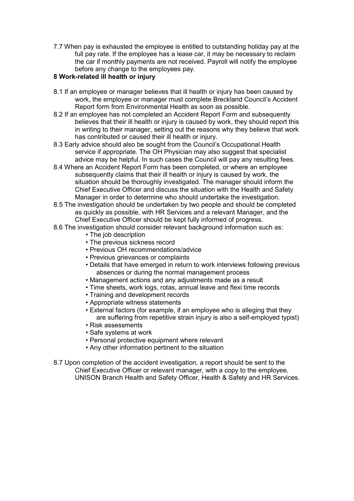7.7 When pay is exhausted the employee is entitled to outstanding holiday pay at the full pay rate. If the employee has a lease car, it may be necessary to reclaim the car if monthly payments are not received. Payroll will notify the employee before any change to the employees pay.

# 8 Work-related ill health or injury

- 8.1 If an employee or manager believes that ill health or injury has been caused by work, the employee or manager must complete Breckland Council's Accident Report form from Environmental Health as soon as possible.
- 8.2 If an employee has not completed an Accident Report Form and subsequently believes that their ill health or injury is caused by work, they should report this in writing to their manager, setting out the reasons why they believe that work has contributed or caused their ill health or injury.
- 8.3 Early advice should also be sought from the Council's Occupational Health service if appropriate. The OH Physician may also suggest that specialist advice may be helpful. In such cases the Council will pay any resulting fees.
- 8.4 Where an Accident Report Form has been completed, or where an employee subsequently claims that their ill health or injury is caused by work, the situation should be thoroughly investigated. The manager should inform the Chief Executive Officer and discuss the situation with the Health and Safety Manager in order to determine who should undertake the investigation.
- 8.5 The investigation should be undertaken by two people and should be completed as quickly as possible, with HR Services and a relevant Manager, and the Chief Executive Officer should be kept fully informed of progress.
- 8.6 The investigation should consider relevant background information such as:
	- The job description
	- The previous sickness record
	- Previous OH recommendations/advice
	- Previous grievances or complaints
	- Details that have emerged in return to work interviews following previous absences or during the normal management process
	- Management actions and any adjustments made as a result
	- Time sheets, work logs, rotas, annual leave and flexi time records
	- Training and development records
	- Appropriate witness statements
	- External factors (for example, if an employee who is alleging that they are suffering from repetitive strain injury is also a self-employed typist)
	- Risk assessments
	- Safe systems at work
	- Personal protective equipment where relevant
	- Any other information pertinent to the situation
- 8.7 Upon completion of the accident investigation, a report should be sent to the Chief Executive Officer or relevant manager, with a copy to the employee, UNISON Branch Health and Safety Officer, Health & Safety and HR Services.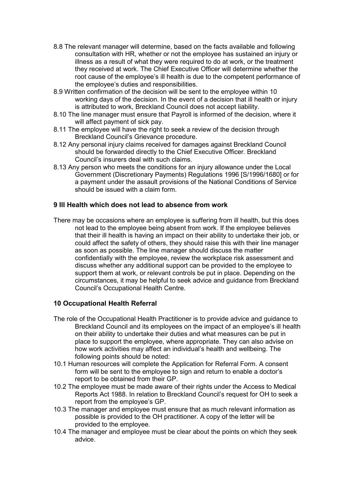- 8.8 The relevant manager will determine, based on the facts available and following consultation with HR, whether or not the employee has sustained an injury or illness as a result of what they were required to do at work, or the treatment they received at work. The Chief Executive Officer will determine whether the root cause of the employee's ill health is due to the competent performance of the employee's duties and responsibilities.
- 8.9 Written confirmation of the decision will be sent to the employee within 10 working days of the decision. In the event of a decision that ill health or injury is attributed to work, Breckland Council does not accept liability.
- 8.10 The line manager must ensure that Payroll is informed of the decision, where it will affect payment of sick pay.
- 8.11 The employee will have the right to seek a review of the decision through Breckland Council's Grievance procedure.
- 8.12 Any personal injury claims received for damages against Breckland Council should be forwarded directly to the Chief Executive Officer. Breckland Council's insurers deal with such claims.
- 8.13 Any person who meets the conditions for an injury allowance under the Local Government (Discretionary Payments) Regulations 1996 [S/1996/1680] or for a payment under the assault provisions of the National Conditions of Service should be issued with a claim form.

### 9 Ill Health which does not lead to absence from work

There may be occasions where an employee is suffering from ill health, but this does not lead to the employee being absent from work. If the employee believes that their ill health is having an impact on their ability to undertake their job, or could affect the safety of others, they should raise this with their line manager as soon as possible. The line manager should discuss the matter confidentially with the employee, review the workplace risk assessment and discuss whether any additional support can be provided to the employee to support them at work, or relevant controls be put in place. Depending on the circumstances, it may be helpful to seek advice and guidance from Breckland Council's Occupational Health Centre.

### 10 Occupational Health Referral

- The role of the Occupational Health Practitioner is to provide advice and guidance to Breckland Council and its employees on the impact of an employee's ill health on their ability to undertake their duties and what measures can be put in place to support the employee, where appropriate. They can also advise on how work activities may affect an individual's health and wellbeing. The following points should be noted:
- 10.1 Human resources will complete the Application for Referral Form. A consent form will be sent to the employee to sign and return to enable a doctor's report to be obtained from their GP.
- 10.2 The employee must be made aware of their rights under the Access to Medical Reports Act 1988. In relation to Breckland Council's request for OH to seek a report from the employee's GP.
- 10.3 The manager and employee must ensure that as much relevant information as possible is provided to the OH practitioner. A copy of the letter will be provided to the employee.
- 10.4 The manager and employee must be clear about the points on which they seek advice.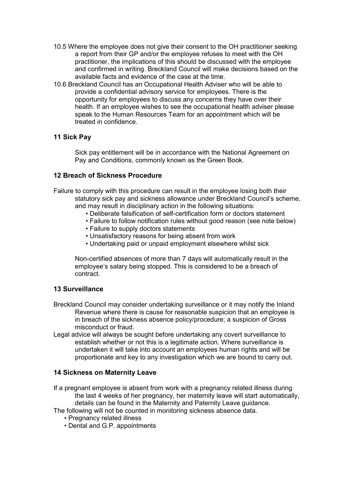- 10.5 Where the employee does not give their consent to the OH practitioner seeking a report from their GP and/or the employee refuses to meet with the OH practitioner, the implications of this should be discussed with the employee and confirmed in writing. Breckland Council will make decisions based on the available facts and evidence of the case at the time.
- 10.6 Breckland Council has an Occupational Health Adviser who will be able to provide a confidential advisory service for employees. There is the opportunity for employees to discuss any concerns they have over their health. If an employee wishes to see the occupational health adviser please speak to the Human Resources Team for an appointment which will be treated in confidence.

# 11 Sick Pay

Sick pay entitlement will be in accordance with the National Agreement on Pay and Conditions, commonly known as the Green Book.

# 12 Breach of Sickness Procedure

Failure to comply with this procedure can result in the employee losing both their statutory sick pay and sickness allowance under Breckland Council's scheme, and may result in disciplinary action in the following situations:

- Deliberate falsification of self-certification form or doctors statement
- Failure to follow notification rules without good reason (see note below)
- Failure to supply doctors statements
- Unsatisfactory reasons for being absent from work
- Undertaking paid or unpaid employment elsewhere whilst sick

Non-certified absences of more than 7 days will automatically result in the employee's salary being stopped. This is considered to be a breach of contract.

### 13 Surveillance

- Breckland Council may consider undertaking surveillance or it may notify the Inland Revenue where there is cause for reasonable suspicion that an employee is in breach of the sickness absence policy/procedure; a suspicion of Gross misconduct or fraud.
- Legal advice will always be sought before undertaking any covert surveillance to establish whether or not this is a legitimate action. Where surveillance is undertaken it will take into account an employees human rights and will be proportionate and key to any investigation which we are bound to carry out.

### 14 Sickness on Maternity Leave

If a pregnant employee is absent from work with a pregnancy related illness during the last 4 weeks of her pregnancy, her maternity leave will start automatically, details can be found in the Maternity and Paternity Leave guidance.

The following will not be counted in monitoring sickness absence data.

- Pregnancy related illness
- Dental and G.P. appointments